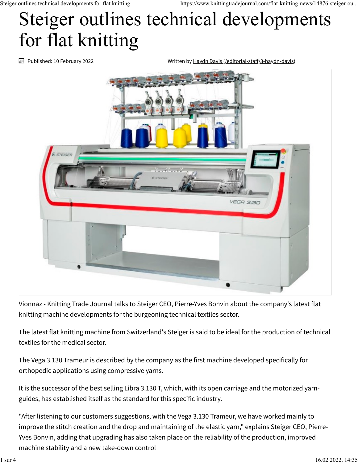## Steiger outlines technical developments for flat knitting

Published: 10 February 2022

Written by [Haydn Davis \(/editorial-staff/3-haydn-davis\)](https://www.knittingtradejournal.com/editorial-staff/3-haydn-davis)



Vionnaz - Knitting Trade Journal talks to Steiger CEO, Pierre-Yves Bonvin about the company's latest flat knitting machine developments for the burgeoning technical textiles sector.

The latest flat knitting machine from Switzerland's Steiger is said to be ideal for the production of technical textiles for the medical sector.

The Vega 3.130 Trameur is described by the company as the first machine developed specifically for orthopedic applications using compressive yarns.

It is the successor of the best selling Libra 3.130 T, which, with its open carriage and the motorized yarnguides, has established itself as the standard for this specific industry.

"After listening to our customers suggestions, with the Vega 3.130 Trameur, we have worked mainly to improve the stitch creation and the drop and maintaining of the elastic yarn," explains Steiger CEO, Pierre-Yves Bonvin, adding that upgrading has also taken place on the reliability of the production, improved machine stability and a new take-down control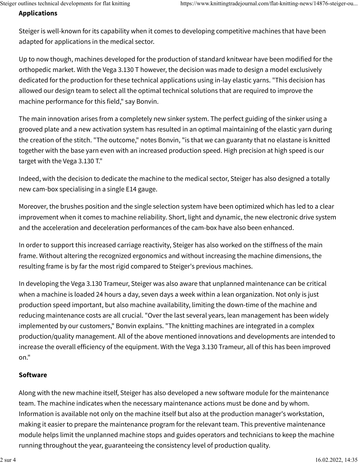## **Applications**

Steiger is well-known for its capability when it comes to developing competitive machines that have been adapted for applications in the medical sector.

Up to now though, machines developed for the production of standard knitwear have been modified for the orthopedic market. With the Vega 3.130 T however, the decision was made to design a model exclusively dedicated for the production for these technical applications using in-lay elastic yarns. "This decision has allowed our design team to select all the optimal technical solutions that are required to improve the machine performance for this field," say Bonvin.

The main innovation arises from a completely new sinker system. The perfect guiding of the sinker using a grooved plate and a new activation system has resulted in an optimal maintaining of the elastic yarn during the creation of the stitch. "The outcome," notes Bonvin, "is that we can guaranty that no elastane is knitted together with the base yarn even with an increased production speed. High precision at high speed is our target with the Vega 3.130 T."

Indeed, with the decision to dedicate the machine to the medical sector, Steiger has also designed a totally new cam-box specialising in a single E14 gauge.

Moreover, the brushes position and the single selection system have been optimized which has led to a clear improvement when it comes to machine reliability. Short, light and dynamic, the new electronic drive system and the acceleration and deceleration performances of the cam-box have also been enhanced.

In order to support this increased carriage reactivity, Steiger has also worked on the stiffness of the main frame. Without altering the recognized ergonomics and without increasing the machine dimensions, the resulting frame is by far the most rigid compared to Steiger's previous machines.

In developing the Vega 3.130 Trameur, Steiger was also aware that unplanned maintenance can be critical when a machine is loaded 24 hours a day, seven days a week within a lean organization. Not only is just production speed important, but also machine availability, limiting the down-time of the machine and reducing maintenance costs are all crucial. "Over the last several years, lean management has been widely implemented by our customers," Bonvin explains. "The knitting machines are integrated in a complex production/quality management. All of the above mentioned innovations and developments are intended to increase the overall efficiency of the equipment. With the Vega 3.130 Trameur, all of this has been improved on."

## **Software**

Along with the new machine itself, Steiger has also developed a new software module for the maintenance team. The machine indicates when the necessary maintenance actions must be done and by whom. Information is available not only on the machine itself but also at the production manager's workstation, making it easier to prepare the maintenance program for the relevant team. This preventive maintenance module helps limit the unplanned machine stops and guides operators and technicians to keep the machine running throughout the year, guaranteeing the consistency level of production quality.